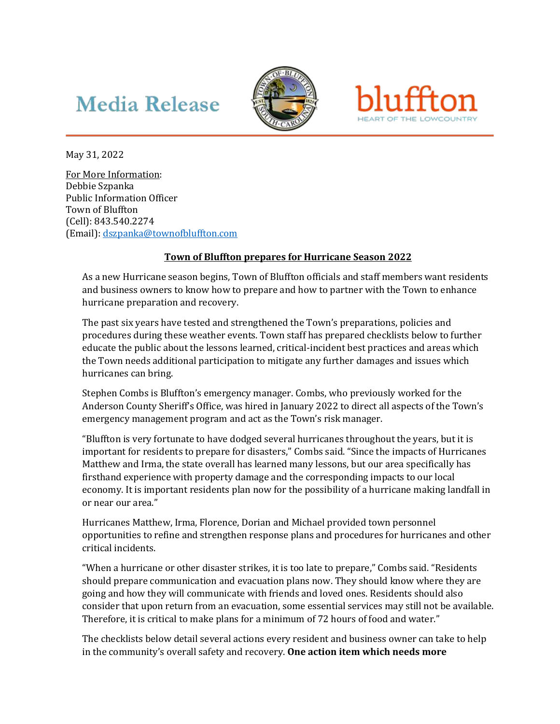## **Media Release**





May 31, 2022

For More Information: Debbie Szpanka Public Information Officer Town of Bluffton (Cell): 843.540.2274 (Email)[: dszpanka@townofbluffton.com](mailto:dszpanka@townofbluffton.com)

## **Town of Bluffton prepares for Hurricane Season 2022**

As a new Hurricane season begins, Town of Bluffton officials and staff members want residents and business owners to know how to prepare and how to partner with the Town to enhance hurricane preparation and recovery.

The past six years have tested and strengthened the Town's preparations, policies and procedures during these weather events. Town staff has prepared checklists below to further educate the public about the lessons learned, critical-incident best practices and areas which the Town needs additional participation to mitigate any further damages and issues which hurricanes can bring.

Stephen Combs is Bluffton's emergency manager. Combs, who previously worked for the Anderson County Sheriff's Office, was hired in January 2022 to direct all aspects of the Town's emergency management program and act as the Town's risk manager.

"Bluffton is very fortunate to have dodged several hurricanes throughout the years, but it is important for residents to prepare for disasters," Combs said. "Since the impacts of Hurricanes Matthew and Irma, the state overall has learned many lessons, but our area specifically has firsthand experience with property damage and the corresponding impacts to our local economy. It is important residents plan now for the possibility of a hurricane making landfall in or near our area."

Hurricanes Matthew, Irma, Florence, Dorian and Michael provided town personnel opportunities to refine and strengthen response plans and procedures for hurricanes and other critical incidents.

"When a hurricane or other disaster strikes, it is too late to prepare," Combs said. "Residents should prepare communication and evacuation plans now. They should know where they are going and how they will communicate with friends and loved ones. Residents should also consider that upon return from an evacuation, some essential services may still not be available. Therefore, it is critical to make plans for a minimum of 72 hours of food and water."

The checklists below detail several actions every resident and business owner can take to help in the community's overall safety and recovery. **One action item which needs more**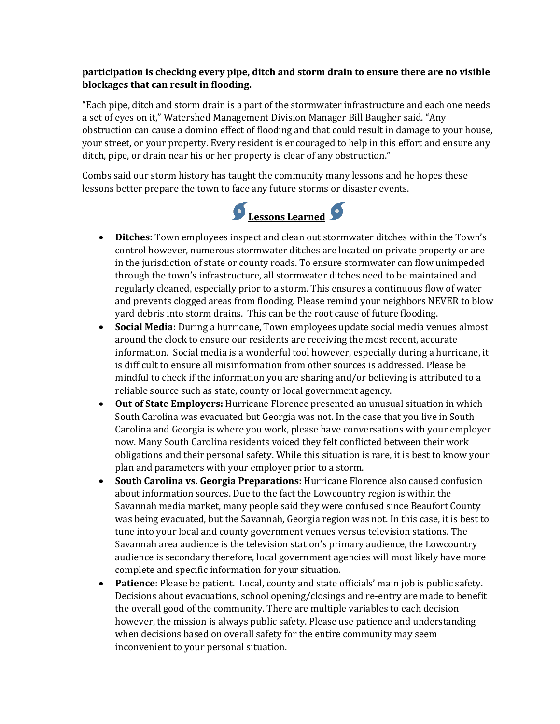## **participation is checking every pipe, ditch and storm drain to ensure there are no visible blockages that can result in flooding.**

"Each pipe, ditch and storm drain is a part of the stormwater infrastructure and each one needs a set of eyes on it," Watershed Management Division Manager Bill Baugher said. "Any obstruction can cause a domino effect of flooding and that could result in damage to your house, your street, or your property. Every resident is encouraged to help in this effort and ensure any ditch, pipe, or drain near his or her property is clear of any obstruction."

Combs said our storm history has taught the community many lessons and he hopes these lessons better prepare the town to face any future storms or disaster events.



- **Ditches:** Town employees inspect and clean out stormwater ditches within the Town's control however, numerous stormwater ditches are located on private property or are in the jurisdiction of state or county roads. To ensure stormwater can flow unimpeded through the town's infrastructure, all stormwater ditches need to be maintained and regularly cleaned, especially prior to a storm. This ensures a continuous flow of water and prevents clogged areas from flooding. Please remind your neighbors NEVER to blow yard debris into storm drains. This can be the root cause of future flooding.
- **Social Media:** During a hurricane, Town employees update social media venues almost around the clock to ensure our residents are receiving the most recent, accurate information. Social media is a wonderful tool however, especially during a hurricane, it is difficult to ensure all misinformation from other sources is addressed. Please be mindful to check if the information you are sharing and/or believing is attributed to a reliable source such as state, county or local government agency.
- **Out of State Employers:** Hurricane Florence presented an unusual situation in which South Carolina was evacuated but Georgia was not. In the case that you live in South Carolina and Georgia is where you work, please have conversations with your employer now. Many South Carolina residents voiced they felt conflicted between their work obligations and their personal safety. While this situation is rare, it is best to know your plan and parameters with your employer prior to a storm.
- **South Carolina vs. Georgia Preparations:** Hurricane Florence also caused confusion about information sources. Due to the fact the Lowcountry region is within the Savannah media market, many people said they were confused since Beaufort County was being evacuated, but the Savannah, Georgia region was not. In this case, it is best to tune into your local and county government venues versus television stations. The Savannah area audience is the television station's primary audience, the Lowcountry audience is secondary therefore, local government agencies will most likely have more complete and specific information for your situation.
- **Patience**: Please be patient. Local, county and state officials' main job is public safety. Decisions about evacuations, school opening/closings and re-entry are made to benefit the overall good of the community. There are multiple variables to each decision however, the mission is always public safety. Please use patience and understanding when decisions based on overall safety for the entire community may seem inconvenient to your personal situation.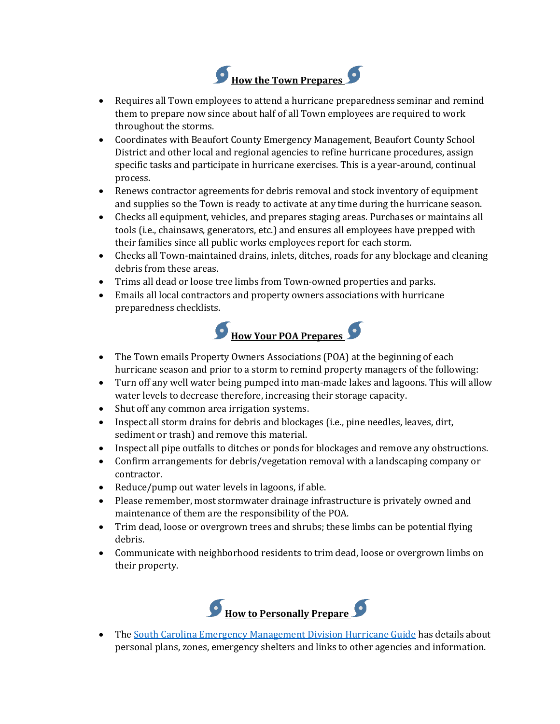

- Requires all Town employees to attend a hurricane preparedness seminar and remind them to prepare now since about half of all Town employees are required to work throughout the storms.
- Coordinates with Beaufort County Emergency Management, Beaufort County School District and other local and regional agencies to refine hurricane procedures, assign specific tasks and participate in hurricane exercises. This is a year-around, continual process.
- Renews contractor agreements for debris removal and stock inventory of equipment and supplies so the Town is ready to activate at any time during the hurricane season.
- Checks all equipment, vehicles, and prepares staging areas. Purchases or maintains all tools (i.e., chainsaws, generators, etc.) and ensures all employees have prepped with their families since all public works employees report for each storm.
- Checks all Town-maintained drains, inlets, ditches, roads for any blockage and cleaning debris from these areas.
- Trims all dead or loose tree limbs from Town-owned properties and parks.
- Emails all local contractors and property owners associations with hurricane preparedness checklists.



- The Town emails Property Owners Associations (POA) at the beginning of each hurricane season and prior to a storm to remind property managers of the following:
- Turn off any well water being pumped into man-made lakes and lagoons. This will allow water levels to decrease therefore, increasing their storage capacity.
- Shut off any common area irrigation systems.
- Inspect all storm drains for debris and blockages (i.e., pine needles, leaves, dirt, sediment or trash) and remove this material.
- Inspect all pipe outfalls to ditches or ponds for blockages and remove any obstructions.
- Confirm arrangements for debris/vegetation removal with a landscaping company or contractor.
- Reduce/pump out water levels in lagoons, if able.
- Please remember, most stormwater drainage infrastructure is privately owned and maintenance of them are the responsibility of the POA.
- Trim dead, loose or overgrown trees and shrubs; these limbs can be potential flying debris.
- Communicate with neighborhood residents to trim dead, loose or overgrown limbs on their property.



• Th[e South Carolina Emergency Management Division Hurricane Guide](https://www.townofbluffton.sc.gov/DocumentCenter/View/1239/South-Carolina-2020-Hurricane-Guide-PDF?bidId=) has details about personal plans, zones, emergency shelters and links to other agencies and information.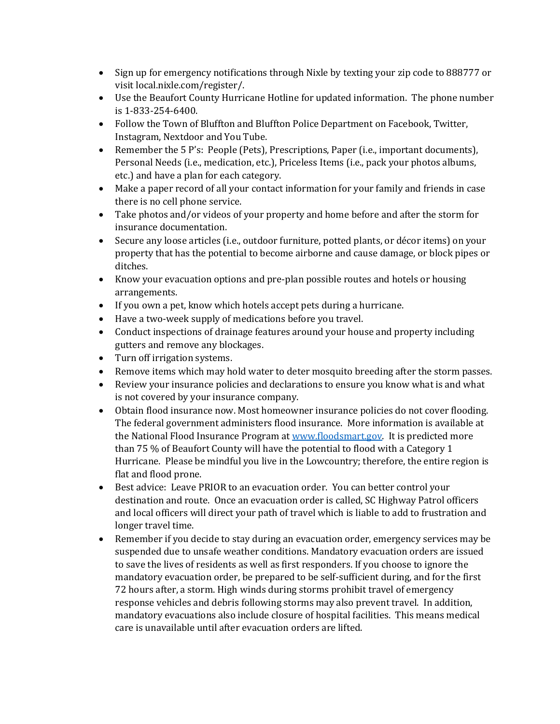- Sign up for emergency notifications through Nixle by texting your zip code to 888777 or visit local.nixle.com/register/.
- Use the Beaufort County Hurricane Hotline for updated information. The phone number is 1-833-254-6400.
- Follow the Town of Bluffton and Bluffton Police Department on Facebook, Twitter, Instagram, Nextdoor and You Tube.
- Remember the 5 P's: People (Pets), Prescriptions, Paper (i.e., important documents), Personal Needs (i.e., medication, etc.), Priceless Items (i.e., pack your photos albums, etc.) and have a plan for each category.
- Make a paper record of all your contact information for your family and friends in case there is no cell phone service.
- Take photos and/or videos of your property and home before and after the storm for insurance documentation.
- Secure any loose articles (i.e., outdoor furniture, potted plants, or décor items) on your property that has the potential to become airborne and cause damage, or block pipes or ditches.
- Know your evacuation options and pre-plan possible routes and hotels or housing arrangements.
- If you own a pet, know which hotels accept pets during a hurricane.
- Have a two-week supply of medications before you travel.
- Conduct inspections of drainage features around your house and property including gutters and remove any blockages.
- Turn off irrigation systems.
- Remove items which may hold water to deter mosquito breeding after the storm passes.
- Review your insurance policies and declarations to ensure you know what is and what is not covered by your insurance company.
- Obtain flood insurance now. Most homeowner insurance policies do not cover flooding. The federal government administers flood insurance. More information is available at the National Flood Insurance Program a[t www.floodsmart.gov.](http://www.floodsmart.gov/) It is predicted more than 75 % of Beaufort County will have the potential to flood with a Category 1 Hurricane. Please be mindful you live in the Lowcountry; therefore, the entire region is flat and flood prone.
- Best advice: Leave PRIOR to an evacuation order. You can better control your destination and route. Once an evacuation order is called, SC Highway Patrol officers and local officers will direct your path of travel which is liable to add to frustration and longer travel time.
- Remember if you decide to stay during an evacuation order, emergency services may be suspended due to unsafe weather conditions. Mandatory evacuation orders are issued to save the lives of residents as well as first responders. If you choose to ignore the mandatory evacuation order, be prepared to be self-sufficient during, and for the first 72 hours after, a storm. High winds during storms prohibit travel of emergency response vehicles and debris following storms may also prevent travel. In addition, mandatory evacuations also include closure of hospital facilities. This means medical care is unavailable until after evacuation orders are lifted.